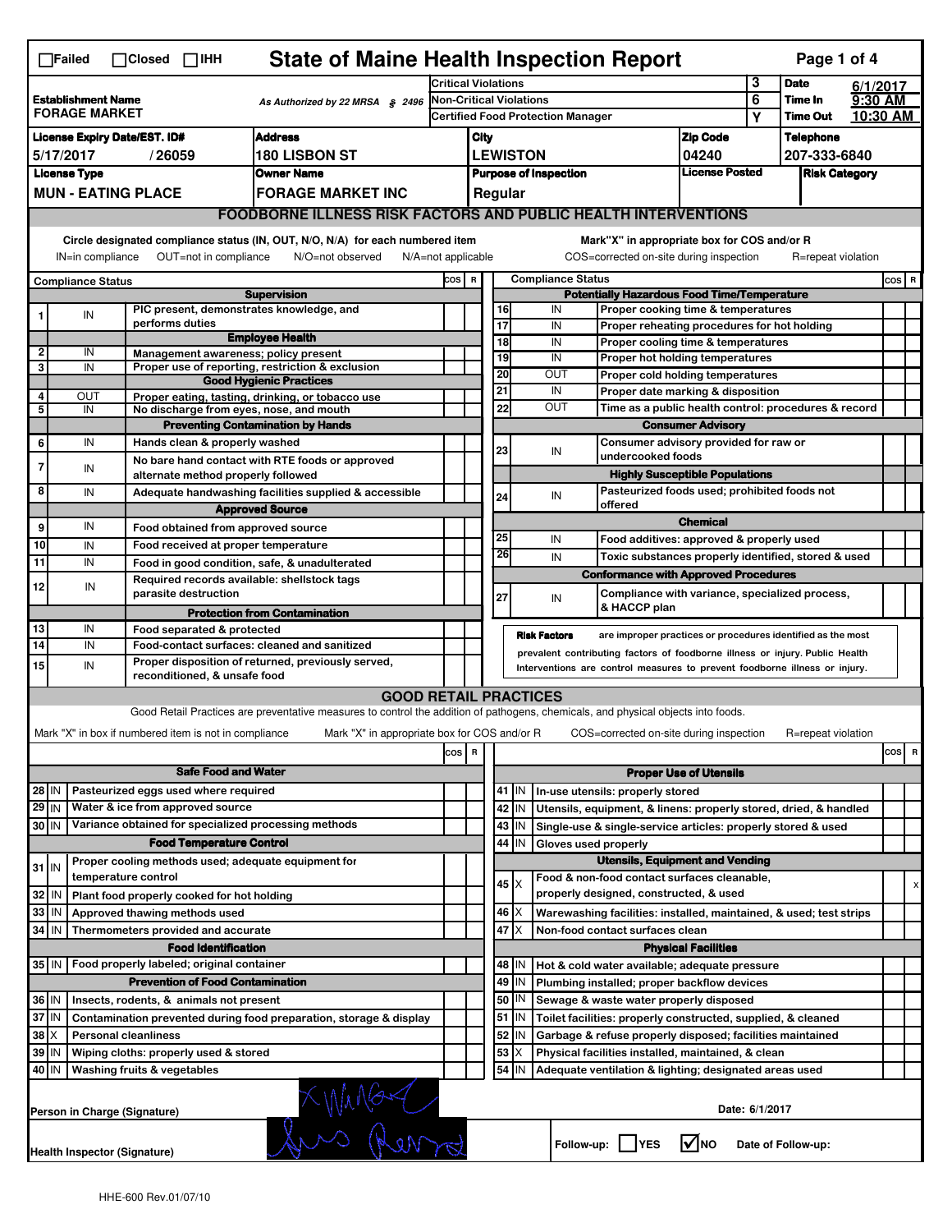|                                                                                                                                                                                                                                                                                       | <b>State of Maine Health Inspection Report</b><br>Page 1 of 4<br>$\Box$ Failed<br>$\Box$ Closed $\Box$ IHH                                                                                                                                 |                                                                             |                                                                                                                                   |     |                                                                              |                                                                  |                 |                     |                                                                                       |                               |                      |                    |         |      |   |
|---------------------------------------------------------------------------------------------------------------------------------------------------------------------------------------------------------------------------------------------------------------------------------------|--------------------------------------------------------------------------------------------------------------------------------------------------------------------------------------------------------------------------------------------|-----------------------------------------------------------------------------|-----------------------------------------------------------------------------------------------------------------------------------|-----|------------------------------------------------------------------------------|------------------------------------------------------------------|-----------------|---------------------|---------------------------------------------------------------------------------------|-------------------------------|----------------------|--------------------|---------|------|---|
|                                                                                                                                                                                                                                                                                       |                                                                                                                                                                                                                                            |                                                                             |                                                                                                                                   |     | <b>Critical Violations</b>                                                   |                                                                  |                 |                     |                                                                                       | 3                             | <b>Date</b>          | 6/1/2017           |         |      |   |
| <b>Establishment Name</b><br>As Authorized by 22 MRSA § 2496<br><b>FORAGE MARKET</b>                                                                                                                                                                                                  |                                                                                                                                                                                                                                            |                                                                             |                                                                                                                                   |     | 6<br><b>Non-Critical Violations</b>                                          |                                                                  |                 |                     |                                                                                       | Time In                       | 9:30 AM              |                    |         |      |   |
|                                                                                                                                                                                                                                                                                       |                                                                                                                                                                                                                                            |                                                                             |                                                                                                                                   |     | <b>Certified Food Protection Manager</b>                                     |                                                                  |                 |                     |                                                                                       | Y                             | <b>Time Out</b>      | 10:30 AM           |         |      |   |
| <b>License Expiry Date/EST. ID#</b><br><b>Address</b>                                                                                                                                                                                                                                 |                                                                                                                                                                                                                                            |                                                                             |                                                                                                                                   |     |                                                                              | City                                                             |                 |                     | <b>Zip Code</b>                                                                       |                               | <b>Telephone</b>     |                    |         |      |   |
| <b>180 LISBON ST</b><br>5/17/2017<br>/26059                                                                                                                                                                                                                                           |                                                                                                                                                                                                                                            |                                                                             |                                                                                                                                   |     |                                                                              |                                                                  | <b>LEWISTON</b> |                     |                                                                                       | 04240                         |                      | 207-333-6840       |         |      |   |
| <b>License Type</b><br><b>Owner Name</b>                                                                                                                                                                                                                                              |                                                                                                                                                                                                                                            |                                                                             |                                                                                                                                   |     |                                                                              | <b>License Posted</b><br><b>Purpose of Inspection</b><br>Regular |                 |                     |                                                                                       |                               | <b>Risk Category</b> |                    |         |      |   |
|                                                                                                                                                                                                                                                                                       | <b>MUN - EATING PLACE</b><br><b>FORAGE MARKET INC</b>                                                                                                                                                                                      |                                                                             |                                                                                                                                   |     |                                                                              |                                                                  |                 |                     |                                                                                       |                               |                      |                    |         |      |   |
|                                                                                                                                                                                                                                                                                       |                                                                                                                                                                                                                                            |                                                                             | <b>FOODBORNE ILLNESS RISK FACTORS AND PUBLIC HEALTH INTERVENTIONS</b>                                                             |     |                                                                              |                                                                  |                 |                     |                                                                                       |                               |                      |                    |         |      |   |
| Circle designated compliance status (IN, OUT, N/O, N/A) for each numbered item<br>Mark"X" in appropriate box for COS and/or R<br>OUT=not in compliance<br>COS=corrected on-site during inspection<br>IN=in compliance<br>N/O=not observed<br>N/A=not applicable<br>R=repeat violation |                                                                                                                                                                                                                                            |                                                                             |                                                                                                                                   |     |                                                                              |                                                                  |                 |                     |                                                                                       |                               |                      |                    |         |      |   |
| <b>Compliance Status</b>                                                                                                                                                                                                                                                              |                                                                                                                                                                                                                                            |                                                                             |                                                                                                                                   |     | <b>Compliance Status</b><br>COS R                                            |                                                                  |                 |                     |                                                                                       |                               |                      |                    | $cos$ R |      |   |
| <b>Supervision</b>                                                                                                                                                                                                                                                                    |                                                                                                                                                                                                                                            |                                                                             |                                                                                                                                   |     |                                                                              | <b>Potentially Hazardous Food Time/Temperature</b>               |                 |                     |                                                                                       |                               |                      |                    |         |      |   |
|                                                                                                                                                                                                                                                                                       | IN                                                                                                                                                                                                                                         | PIC present, demonstrates knowledge, and<br>performs duties                 |                                                                                                                                   |     |                                                                              |                                                                  | 16              | IN                  | Proper cooking time & temperatures                                                    |                               |                      |                    |         |      |   |
|                                                                                                                                                                                                                                                                                       |                                                                                                                                                                                                                                            |                                                                             | <b>Employee Health</b>                                                                                                            |     |                                                                              | $\overline{17}$                                                  | $\overline{18}$ | IN<br>IN            | Proper reheating procedures for hot holding<br>Proper cooling time & temperatures     |                               |                      |                    |         |      |   |
| $\overline{2}$                                                                                                                                                                                                                                                                        | IN                                                                                                                                                                                                                                         | Management awareness; policy present                                        |                                                                                                                                   |     |                                                                              |                                                                  | 19              | IN                  | Proper hot holding temperatures                                                       |                               |                      |                    |         |      |   |
| 3                                                                                                                                                                                                                                                                                     | IN                                                                                                                                                                                                                                         |                                                                             | Proper use of reporting, restriction & exclusion                                                                                  |     |                                                                              | $\overline{20}$                                                  |                 | OUT                 | Proper cold holding temperatures                                                      |                               |                      |                    |         |      |   |
|                                                                                                                                                                                                                                                                                       |                                                                                                                                                                                                                                            |                                                                             | <b>Good Hygienic Practices</b>                                                                                                    |     |                                                                              | 21                                                               |                 | IN                  | Proper date marking & disposition                                                     |                               |                      |                    |         |      |   |
| 4<br>5                                                                                                                                                                                                                                                                                | OUT<br>IN                                                                                                                                                                                                                                  | No discharge from eyes, nose, and mouth                                     | Proper eating, tasting, drinking, or tobacco use                                                                                  |     |                                                                              |                                                                  | 22              | OUT                 | Time as a public health control: procedures & record                                  |                               |                      |                    |         |      |   |
|                                                                                                                                                                                                                                                                                       |                                                                                                                                                                                                                                            |                                                                             | <b>Preventing Contamination by Hands</b>                                                                                          |     |                                                                              |                                                                  |                 |                     |                                                                                       | <b>Consumer Advisory</b>      |                      |                    |         |      |   |
| 6                                                                                                                                                                                                                                                                                     | IN                                                                                                                                                                                                                                         | Hands clean & properly washed                                               |                                                                                                                                   |     |                                                                              |                                                                  |                 |                     | Consumer advisory provided for raw or                                                 |                               |                      |                    |         |      |   |
| 7                                                                                                                                                                                                                                                                                     |                                                                                                                                                                                                                                            |                                                                             | No bare hand contact with RTE foods or approved                                                                                   |     |                                                                              |                                                                  | 23              | IN                  | undercooked foods                                                                     |                               |                      |                    |         |      |   |
|                                                                                                                                                                                                                                                                                       | IN                                                                                                                                                                                                                                         | alternate method properly followed                                          |                                                                                                                                   |     |                                                                              |                                                                  |                 |                     | <b>Highly Susceptible Populations</b>                                                 |                               |                      |                    |         |      |   |
| 8                                                                                                                                                                                                                                                                                     | IN                                                                                                                                                                                                                                         |                                                                             | Adequate handwashing facilities supplied & accessible                                                                             |     |                                                                              |                                                                  | 24              | IN                  | Pasteurized foods used; prohibited foods not                                          |                               |                      |                    |         |      |   |
|                                                                                                                                                                                                                                                                                       |                                                                                                                                                                                                                                            |                                                                             | <b>Approved Source</b>                                                                                                            |     |                                                                              |                                                                  |                 |                     | offered                                                                               |                               |                      |                    |         |      |   |
| 9                                                                                                                                                                                                                                                                                     | IN                                                                                                                                                                                                                                         | Food obtained from approved source                                          |                                                                                                                                   |     |                                                                              | 25                                                               |                 |                     |                                                                                       | <b>Chemical</b>               |                      |                    |         |      |   |
| 10                                                                                                                                                                                                                                                                                    | IN                                                                                                                                                                                                                                         | Food received at proper temperature                                         |                                                                                                                                   |     |                                                                              |                                                                  | 26              | IN                  | Food additives: approved & properly used                                              |                               |                      |                    |         |      |   |
| 11                                                                                                                                                                                                                                                                                    | IN                                                                                                                                                                                                                                         |                                                                             | Food in good condition, safe, & unadulterated                                                                                     |     |                                                                              |                                                                  |                 | IN                  | Toxic substances properly identified, stored & used                                   |                               |                      |                    |         |      |   |
| 12                                                                                                                                                                                                                                                                                    | IN                                                                                                                                                                                                                                         | Required records available: shellstock tags                                 |                                                                                                                                   |     |                                                                              |                                                                  |                 |                     | <b>Conformance with Approved Procedures</b>                                           |                               |                      |                    |         |      |   |
|                                                                                                                                                                                                                                                                                       |                                                                                                                                                                                                                                            | parasite destruction                                                        |                                                                                                                                   |     |                                                                              | 27                                                               |                 | IN                  | Compliance with variance, specialized process,<br>& HACCP plan                        |                               |                      |                    |         |      |   |
|                                                                                                                                                                                                                                                                                       |                                                                                                                                                                                                                                            |                                                                             | <b>Protection from Contamination</b>                                                                                              |     |                                                                              |                                                                  |                 |                     |                                                                                       |                               |                      |                    |         |      |   |
| 13<br>$\overline{14}$                                                                                                                                                                                                                                                                 | IN<br>IN                                                                                                                                                                                                                                   | Food separated & protected                                                  |                                                                                                                                   |     |                                                                              |                                                                  |                 | <b>Risk Factors</b> | are improper practices or procedures identified as the most                           |                               |                      |                    |         |      |   |
|                                                                                                                                                                                                                                                                                       |                                                                                                                                                                                                                                            |                                                                             | Food-contact surfaces: cleaned and sanitized<br>Proper disposition of returned, previously served,                                |     | prevalent contributing factors of foodborne illness or injury. Public Health |                                                                  |                 |                     |                                                                                       |                               |                      |                    |         |      |   |
| 15                                                                                                                                                                                                                                                                                    | IN                                                                                                                                                                                                                                         | reconditioned, & unsafe food                                                |                                                                                                                                   |     |                                                                              |                                                                  |                 |                     | Interventions are control measures to prevent foodborne illness or injury.            |                               |                      |                    |         |      |   |
|                                                                                                                                                                                                                                                                                       |                                                                                                                                                                                                                                            |                                                                             | <b>GOOD RETAIL PRACTICES</b>                                                                                                      |     |                                                                              |                                                                  |                 |                     |                                                                                       |                               |                      |                    |         |      |   |
|                                                                                                                                                                                                                                                                                       |                                                                                                                                                                                                                                            |                                                                             | Good Retail Practices are preventative measures to control the addition of pathogens, chemicals, and physical objects into foods. |     |                                                                              |                                                                  |                 |                     |                                                                                       |                               |                      |                    |         |      |   |
|                                                                                                                                                                                                                                                                                       |                                                                                                                                                                                                                                            | Mark "X" in box if numbered item is not in compliance                       | Mark "X" in appropriate box for COS and/or R                                                                                      |     |                                                                              |                                                                  |                 |                     | COS=corrected on-site during inspection                                               |                               |                      | R=repeat violation |         |      |   |
|                                                                                                                                                                                                                                                                                       |                                                                                                                                                                                                                                            |                                                                             |                                                                                                                                   | cos | R                                                                            |                                                                  |                 |                     |                                                                                       |                               |                      |                    |         | cosl | R |
|                                                                                                                                                                                                                                                                                       |                                                                                                                                                                                                                                            | <b>Safe Food and Water</b>                                                  |                                                                                                                                   |     |                                                                              |                                                                  |                 |                     |                                                                                       |                               |                      |                    |         |      |   |
|                                                                                                                                                                                                                                                                                       |                                                                                                                                                                                                                                            |                                                                             |                                                                                                                                   |     |                                                                              |                                                                  |                 |                     |                                                                                       | <b>Proper Use of Utensils</b> |                      |                    |         |      |   |
| 28 IN                                                                                                                                                                                                                                                                                 |                                                                                                                                                                                                                                            | Pasteurized eggs used where required<br>Water & ice from approved source    |                                                                                                                                   |     |                                                                              |                                                                  | 41   IN         |                     | In-use utensils: properly stored                                                      |                               |                      |                    |         |      |   |
| 29 IN                                                                                                                                                                                                                                                                                 |                                                                                                                                                                                                                                            | Variance obtained for specialized processing methods                        |                                                                                                                                   |     |                                                                              |                                                                  | 42 IN           |                     | Utensils, equipment, & linens: properly stored, dried, & handled                      |                               |                      |                    |         |      |   |
| 30 IN                                                                                                                                                                                                                                                                                 |                                                                                                                                                                                                                                            |                                                                             |                                                                                                                                   |     |                                                                              |                                                                  | 43   IN         |                     | Single-use & single-service articles: properly stored & used                          |                               |                      |                    |         |      |   |
|                                                                                                                                                                                                                                                                                       |                                                                                                                                                                                                                                            | <b>Food Temperature Control</b>                                             |                                                                                                                                   |     |                                                                              |                                                                  | 44<br>İIN       |                     | Gloves used properly                                                                  |                               |                      |                    |         |      |   |
| $31$ IN                                                                                                                                                                                                                                                                               |                                                                                                                                                                                                                                            | Proper cooling methods used; adequate equipment for<br>temperature control  |                                                                                                                                   |     |                                                                              |                                                                  |                 |                     | <b>Utensils, Equipment and Vending</b><br>Food & non-food contact surfaces cleanable, |                               |                      |                    |         |      |   |
| 32                                                                                                                                                                                                                                                                                    | l IN                                                                                                                                                                                                                                       |                                                                             |                                                                                                                                   |     |                                                                              |                                                                  | $45 \times$     |                     | properly designed, constructed, & used                                                |                               |                      |                    |         |      | x |
| 33 IN                                                                                                                                                                                                                                                                                 |                                                                                                                                                                                                                                            | Plant food properly cooked for hot holding<br>Approved thawing methods used |                                                                                                                                   |     |                                                                              |                                                                  | 46   X          |                     | Warewashing facilities: installed, maintained, & used; test strips                    |                               |                      |                    |         |      |   |
| 34 IN                                                                                                                                                                                                                                                                                 |                                                                                                                                                                                                                                            | Thermometers provided and accurate                                          |                                                                                                                                   |     |                                                                              |                                                                  | 47 I X          |                     | Non-food contact surfaces clean                                                       |                               |                      |                    |         |      |   |
|                                                                                                                                                                                                                                                                                       |                                                                                                                                                                                                                                            | <b>Food Identification</b>                                                  |                                                                                                                                   |     |                                                                              |                                                                  |                 |                     |                                                                                       | <b>Physical Facilities</b>    |                      |                    |         |      |   |
| 35   IN                                                                                                                                                                                                                                                                               |                                                                                                                                                                                                                                            | Food properly labeled; original container                                   |                                                                                                                                   |     |                                                                              |                                                                  | 48   IN         |                     | Hot & cold water available; adequate pressure                                         |                               |                      |                    |         |      |   |
|                                                                                                                                                                                                                                                                                       |                                                                                                                                                                                                                                            | <b>Prevention of Food Contamination</b>                                     |                                                                                                                                   |     |                                                                              |                                                                  | 49 IN           |                     | Plumbing installed; proper backflow devices                                           |                               |                      |                    |         |      |   |
| 36 IN                                                                                                                                                                                                                                                                                 |                                                                                                                                                                                                                                            | Insects, rodents, & animals not present                                     |                                                                                                                                   |     |                                                                              |                                                                  | 50   IN         |                     | Sewage & waste water properly disposed                                                |                               |                      |                    |         |      |   |
| $37$ IN                                                                                                                                                                                                                                                                               |                                                                                                                                                                                                                                            |                                                                             |                                                                                                                                   |     |                                                                              |                                                                  | 51 J IN         |                     |                                                                                       |                               |                      |                    |         |      |   |
| 38                                                                                                                                                                                                                                                                                    | Contamination prevented during food preparation, storage & display<br>Toilet facilities: properly constructed, supplied, & cleaned<br>52<br><b>Personal cleanliness</b><br>ΙM<br>Garbage & refuse properly disposed; facilities maintained |                                                                             |                                                                                                                                   |     |                                                                              |                                                                  |                 |                     |                                                                                       |                               |                      |                    |         |      |   |
| 39 IN<br>$53$ $\times$<br>Wiping cloths: properly used & stored<br>Physical facilities installed, maintained, & clean                                                                                                                                                                 |                                                                                                                                                                                                                                            |                                                                             |                                                                                                                                   |     |                                                                              |                                                                  |                 |                     |                                                                                       |                               |                      |                    |         |      |   |
| 54<br>40 IN<br>Washing fruits & vegetables<br>ΙM<br>Adequate ventilation & lighting; designated areas used                                                                                                                                                                            |                                                                                                                                                                                                                                            |                                                                             |                                                                                                                                   |     |                                                                              |                                                                  |                 |                     |                                                                                       |                               |                      |                    |         |      |   |
|                                                                                                                                                                                                                                                                                       | Date: 6/1/2017<br>Person in Charge (Signature)                                                                                                                                                                                             |                                                                             |                                                                                                                                   |     |                                                                              |                                                                  |                 |                     |                                                                                       |                               |                      |                    |         |      |   |
|                                                                                                                                                                                                                                                                                       | Marcio<br>l√lno<br>Follow-up:  <br><b>YES</b><br>Date of Follow-up:<br>Health Inspector (Signature)                                                                                                                                        |                                                                             |                                                                                                                                   |     |                                                                              |                                                                  |                 |                     |                                                                                       |                               |                      |                    |         |      |   |
|                                                                                                                                                                                                                                                                                       |                                                                                                                                                                                                                                            |                                                                             |                                                                                                                                   |     |                                                                              |                                                                  |                 |                     |                                                                                       |                               |                      |                    |         |      |   |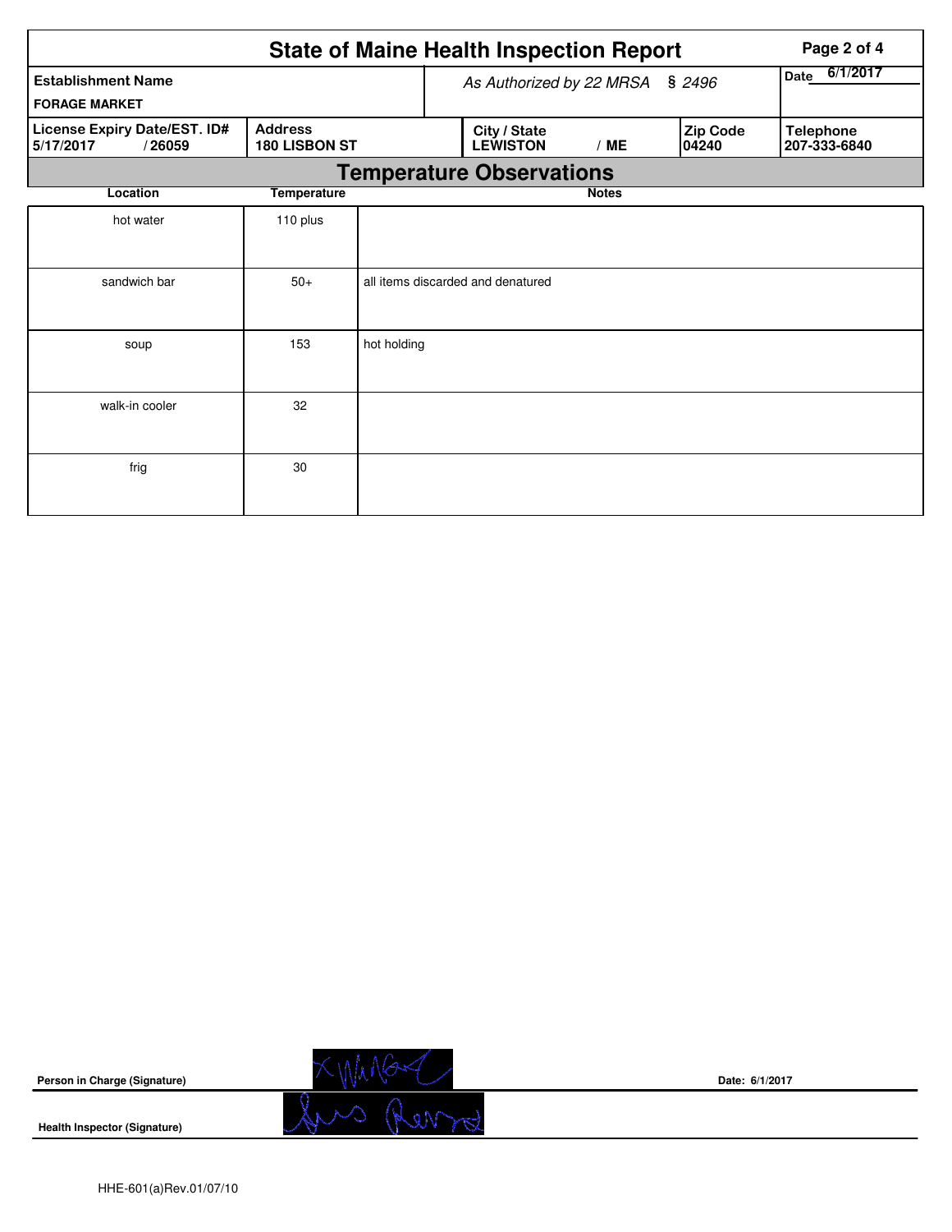|                                                                                        | Page 2 of 4                     |                         |                                   |                                                             |  |  |                                  |  |  |  |
|----------------------------------------------------------------------------------------|---------------------------------|-------------------------|-----------------------------------|-------------------------------------------------------------|--|--|----------------------------------|--|--|--|
| <b>Establishment Name</b>                                                              | As Authorized by 22 MRSA § 2496 | 6/1/2017<br><b>Date</b> |                                   |                                                             |  |  |                                  |  |  |  |
| <b>FORAGE MARKET</b>                                                                   |                                 |                         |                                   |                                                             |  |  |                                  |  |  |  |
| <b>Address</b><br>License Expiry Date/EST. ID#<br>180 LISBON ST<br>/26059<br>5/17/2017 |                                 |                         |                                   | City / State<br>Zip Code<br><b>LEWISTON</b><br>/ME<br>04240 |  |  | <b>Telephone</b><br>207-333-6840 |  |  |  |
| <b>Temperature Observations</b>                                                        |                                 |                         |                                   |                                                             |  |  |                                  |  |  |  |
| Location                                                                               |                                 |                         | <b>Notes</b>                      |                                                             |  |  |                                  |  |  |  |
| hot water                                                                              | 110 plus                        |                         |                                   |                                                             |  |  |                                  |  |  |  |
| sandwich bar                                                                           | $50+$                           |                         | all items discarded and denatured |                                                             |  |  |                                  |  |  |  |
| soup                                                                                   | 153                             | hot holding             |                                   |                                                             |  |  |                                  |  |  |  |
| walk-in cooler                                                                         | 32                              |                         |                                   |                                                             |  |  |                                  |  |  |  |
| frig                                                                                   | 30                              |                         |                                   |                                                             |  |  |                                  |  |  |  |



**Health Inspector (Signature)** 



**Date: 6/1/2017**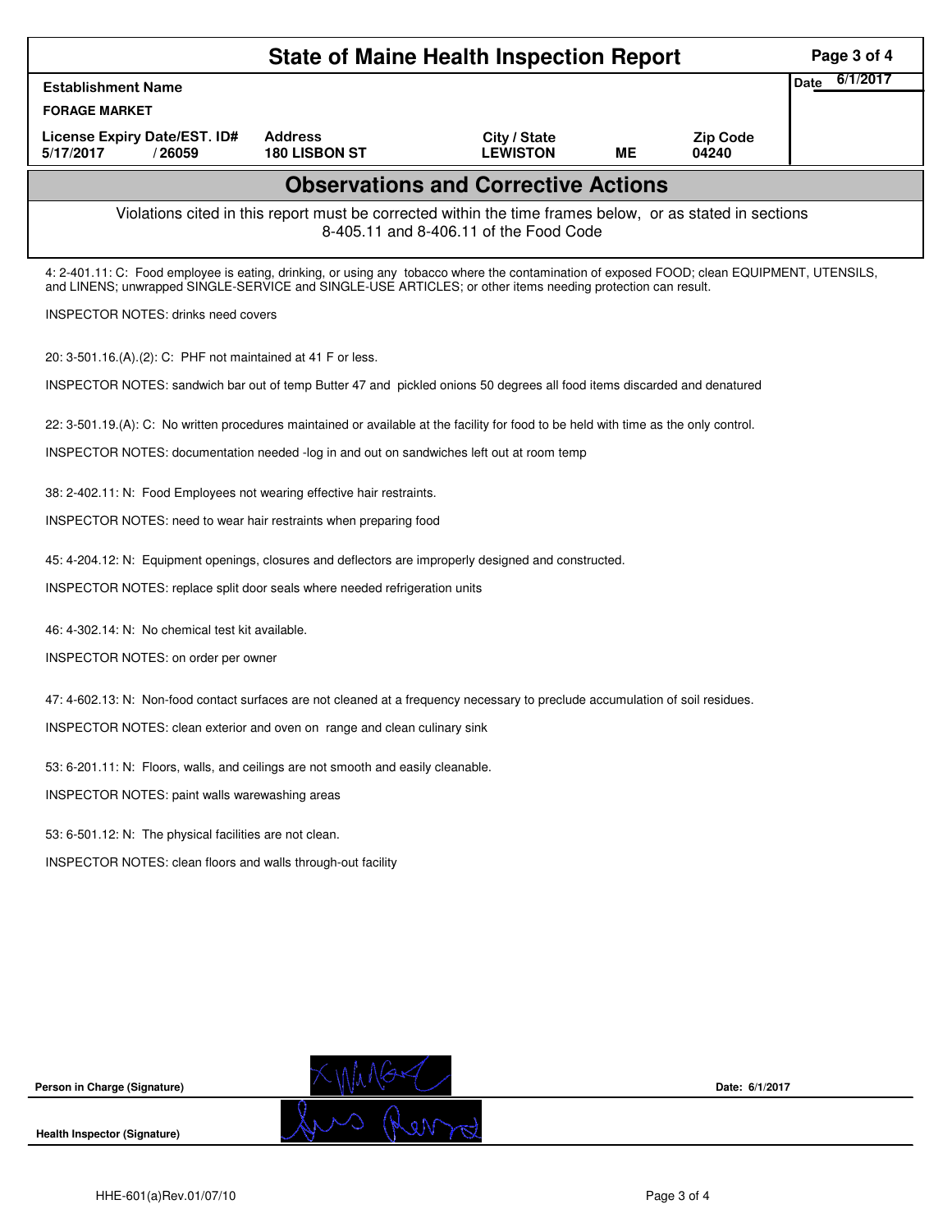| <b>State of Maine Health Inspection Report</b>                                                                                                                                                                                                             |                                                                                                                                                    |                                            |           |                 |      |          |  |  |
|------------------------------------------------------------------------------------------------------------------------------------------------------------------------------------------------------------------------------------------------------------|----------------------------------------------------------------------------------------------------------------------------------------------------|--------------------------------------------|-----------|-----------------|------|----------|--|--|
| <b>Establishment Name</b>                                                                                                                                                                                                                                  |                                                                                                                                                    |                                            |           |                 | Date | 6/1/2017 |  |  |
| <b>FORAGE MARKET</b><br>License Expiry Date/EST. ID#                                                                                                                                                                                                       | <b>Address</b>                                                                                                                                     | City / State                               |           | <b>Zip Code</b> |      |          |  |  |
| 5/17/2017<br>/26059                                                                                                                                                                                                                                        | 180 LISBON ST                                                                                                                                      | <b>LEWISTON</b>                            | <b>ME</b> | 04240           |      |          |  |  |
|                                                                                                                                                                                                                                                            |                                                                                                                                                    | <b>Observations and Corrective Actions</b> |           |                 |      |          |  |  |
|                                                                                                                                                                                                                                                            | Violations cited in this report must be corrected within the time frames below, or as stated in sections<br>8-405.11 and 8-406.11 of the Food Code |                                            |           |                 |      |          |  |  |
| 4: 2-401.11: C: Food employee is eating, drinking, or using any tobacco where the contamination of exposed FOOD; clean EQUIPMENT, UTENSILS,<br>and LINENS; unwrapped SINGLE-SERVICE and SINGLE-USE ARTICLES; or other items needing protection can result. |                                                                                                                                                    |                                            |           |                 |      |          |  |  |
| <b>INSPECTOR NOTES: drinks need covers</b>                                                                                                                                                                                                                 |                                                                                                                                                    |                                            |           |                 |      |          |  |  |
| 20: 3-501.16.(A).(2): C: PHF not maintained at 41 F or less.                                                                                                                                                                                               |                                                                                                                                                    |                                            |           |                 |      |          |  |  |
| INSPECTOR NOTES: sandwich bar out of temp Butter 47 and pickled onions 50 degrees all food items discarded and denatured                                                                                                                                   |                                                                                                                                                    |                                            |           |                 |      |          |  |  |
| 22: 3-501.19.(A): C: No written procedures maintained or available at the facility for food to be held with time as the only control.                                                                                                                      |                                                                                                                                                    |                                            |           |                 |      |          |  |  |
| INSPECTOR NOTES: documentation needed -log in and out on sandwiches left out at room temp                                                                                                                                                                  |                                                                                                                                                    |                                            |           |                 |      |          |  |  |
| 38: 2-402.11: N: Food Employees not wearing effective hair restraints.                                                                                                                                                                                     |                                                                                                                                                    |                                            |           |                 |      |          |  |  |
| INSPECTOR NOTES: need to wear hair restraints when preparing food                                                                                                                                                                                          |                                                                                                                                                    |                                            |           |                 |      |          |  |  |
| 45: 4-204.12: N: Equipment openings, closures and deflectors are improperly designed and constructed.                                                                                                                                                      |                                                                                                                                                    |                                            |           |                 |      |          |  |  |
| INSPECTOR NOTES: replace split door seals where needed refrigeration units                                                                                                                                                                                 |                                                                                                                                                    |                                            |           |                 |      |          |  |  |
| 46: 4-302.14: N: No chemical test kit available.                                                                                                                                                                                                           |                                                                                                                                                    |                                            |           |                 |      |          |  |  |
| INSPECTOR NOTES: on order per owner                                                                                                                                                                                                                        |                                                                                                                                                    |                                            |           |                 |      |          |  |  |
| 47: 4-602.13: N: Non-food contact surfaces are not cleaned at a frequency necessary to preclude accumulation of soil residues.                                                                                                                             |                                                                                                                                                    |                                            |           |                 |      |          |  |  |
| INSPECTOR NOTES: clean exterior and oven on range and clean culinary sink                                                                                                                                                                                  |                                                                                                                                                    |                                            |           |                 |      |          |  |  |
| 53: 6-201.11: N: Floors, walls, and ceilings are not smooth and easily cleanable.                                                                                                                                                                          |                                                                                                                                                    |                                            |           |                 |      |          |  |  |
| INSPECTOR NOTES: paint walls warewashing areas                                                                                                                                                                                                             |                                                                                                                                                    |                                            |           |                 |      |          |  |  |
| 53: 6-501.12: N: The physical facilities are not clean.                                                                                                                                                                                                    |                                                                                                                                                    |                                            |           |                 |      |          |  |  |
| INSPECTOR NOTES: clean floors and walls through-out facility                                                                                                                                                                                               |                                                                                                                                                    |                                            |           |                 |      |          |  |  |
|                                                                                                                                                                                                                                                            |                                                                                                                                                    |                                            |           |                 |      |          |  |  |
|                                                                                                                                                                                                                                                            |                                                                                                                                                    |                                            |           |                 |      |          |  |  |
|                                                                                                                                                                                                                                                            |                                                                                                                                                    |                                            |           |                 |      |          |  |  |
|                                                                                                                                                                                                                                                            |                                                                                                                                                    |                                            |           |                 |      |          |  |  |
|                                                                                                                                                                                                                                                            |                                                                                                                                                    |                                            |           |                 |      |          |  |  |
|                                                                                                                                                                                                                                                            |                                                                                                                                                    |                                            |           | Date: 6/1/2017  |      |          |  |  |
| Person in Charge (Signature)                                                                                                                                                                                                                               |                                                                                                                                                    |                                            |           |                 |      |          |  |  |
| <b>Health Inspector (Signature)</b>                                                                                                                                                                                                                        |                                                                                                                                                    |                                            |           |                 |      |          |  |  |